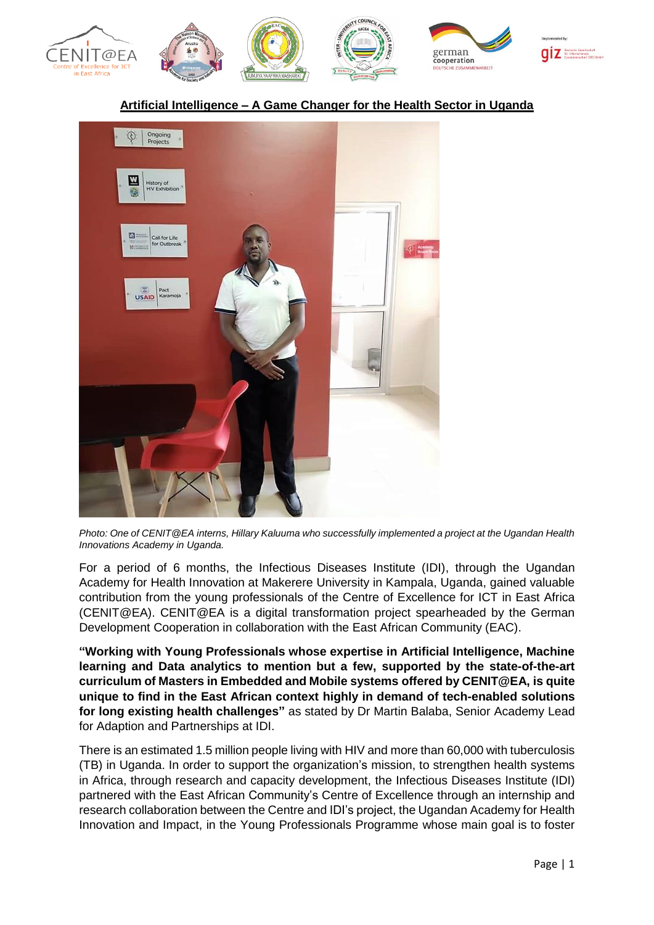

## **Artificial Intelligence – A Game Changer for the Health Sector in Uganda**



*Photo: One of CENIT@EA interns, Hillary Kaluuma who successfully implemented a project at the Ugandan Health Innovations Academy in Uganda.*

For a period of 6 months, the Infectious Diseases Institute (IDI), through the Ugandan Academy for Health Innovation at Makerere University in Kampala, Uganda, gained valuable contribution from the young professionals of the Centre of Excellence for ICT in East Africa (CENIT@EA). CENIT@EA is a digital transformation project spearheaded by the German Development Cooperation in collaboration with the East African Community (EAC).

**"Working with Young Professionals whose expertise in Artificial Intelligence, Machine learning and Data analytics to mention but a few, supported by the state-of-the-art curriculum of Masters in Embedded and Mobile systems offered by CENIT@EA, is quite unique to find in the East African context highly in demand of tech-enabled solutions for long existing health challenges"** as stated by Dr Martin Balaba, Senior Academy Lead for Adaption and Partnerships at IDI.

There is an estimated 1.5 million people living with HIV and more than 60,000 with tuberculosis (TB) in Uganda. In order to support the organization's mission, to strengthen health systems in Africa, through research and capacity development, the Infectious Diseases Institute (IDI) partnered with the East African Community's Centre of Excellence through an internship and research collaboration between the Centre and IDI's project, the Ugandan Academy for Health Innovation and Impact, in the Young Professionals Programme whose main goal is to foster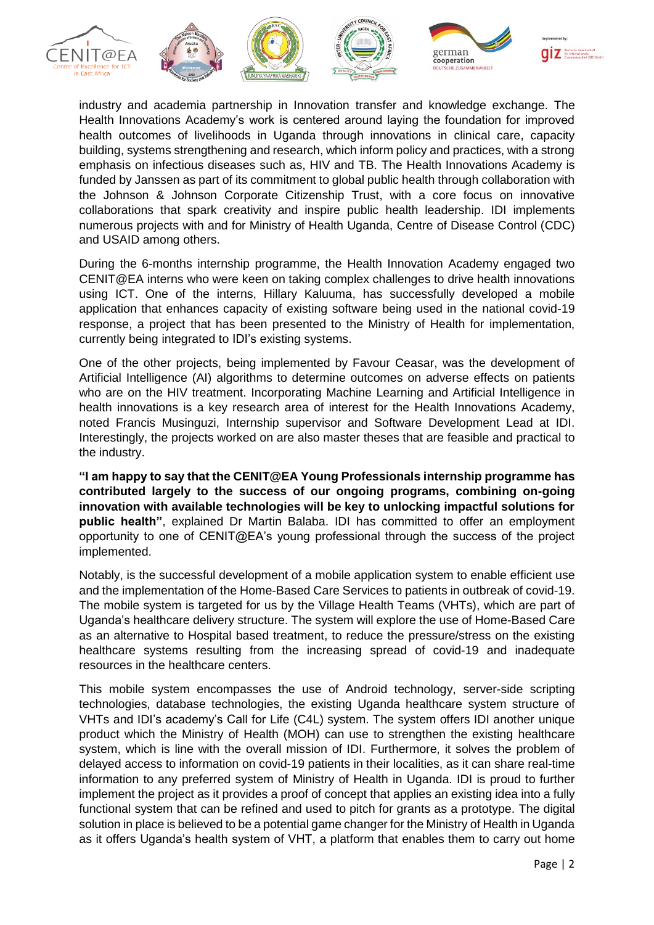











industry and academia partnership in Innovation transfer and knowledge exchange. The Health Innovations Academy's work is centered around laying the foundation for improved health outcomes of livelihoods in Uganda through innovations in clinical care, capacity building, systems strengthening and research, which inform policy and practices, with a strong emphasis on infectious diseases such as, HIV and TB. The Health Innovations Academy is funded by Janssen as part of its commitment to global public health through collaboration with the Johnson & Johnson Corporate Citizenship Trust, with a core focus on innovative collaborations that spark creativity and inspire public health leadership. IDI implements numerous projects with and for Ministry of Health Uganda, Centre of Disease Control (CDC) and USAID among others.

During the 6-months internship programme, the Health Innovation Academy engaged two CENIT@EA interns who were keen on taking complex challenges to drive health innovations using ICT. One of the interns, Hillary Kaluuma, has successfully developed a mobile application that enhances capacity of existing software being used in the national covid-19 response, a project that has been presented to the Ministry of Health for implementation, currently being integrated to IDI's existing systems.

One of the other projects, being implemented by Favour Ceasar, was the development of Artificial Intelligence (AI) algorithms to determine outcomes on adverse effects on patients who are on the HIV treatment. Incorporating Machine Learning and Artificial Intelligence in health innovations is a key research area of interest for the Health Innovations Academy, noted Francis Musinguzi, Internship supervisor and Software Development Lead at IDI. Interestingly, the projects worked on are also master theses that are feasible and practical to the industry.

**"I am happy to say that the CENIT@EA Young Professionals internship programme has contributed largely to the success of our ongoing programs, combining on-going innovation with available technologies will be key to unlocking impactful solutions for public health"**, explained Dr Martin Balaba. IDI has committed to offer an employment opportunity to one of CENIT@EA's young professional through the success of the project implemented.

Notably, is the successful development of a mobile application system to enable efficient use and the implementation of the Home-Based Care Services to patients in outbreak of covid-19. The mobile system is targeted for us by the Village Health Teams (VHTs), which are part of Uganda's healthcare delivery structure. The system will explore the use of Home-Based Care as an alternative to Hospital based treatment, to reduce the pressure/stress on the existing healthcare systems resulting from the increasing spread of covid-19 and inadequate resources in the healthcare centers.

This mobile system encompasses the use of Android technology, server-side scripting technologies, database technologies, the existing Uganda healthcare system structure of VHTs and IDI's academy's Call for Life (C4L) system. The system offers IDI another unique product which the Ministry of Health (MOH) can use to strengthen the existing healthcare system, which is line with the overall mission of IDI. Furthermore, it solves the problem of delayed access to information on covid-19 patients in their localities, as it can share real-time information to any preferred system of Ministry of Health in Uganda. IDI is proud to further implement the project as it provides a proof of concept that applies an existing idea into a fully functional system that can be refined and used to pitch for grants as a prototype. The digital solution in place is believed to be a potential game changer for the Ministry of Health in Uganda as it offers Uganda's health system of VHT, a platform that enables them to carry out home